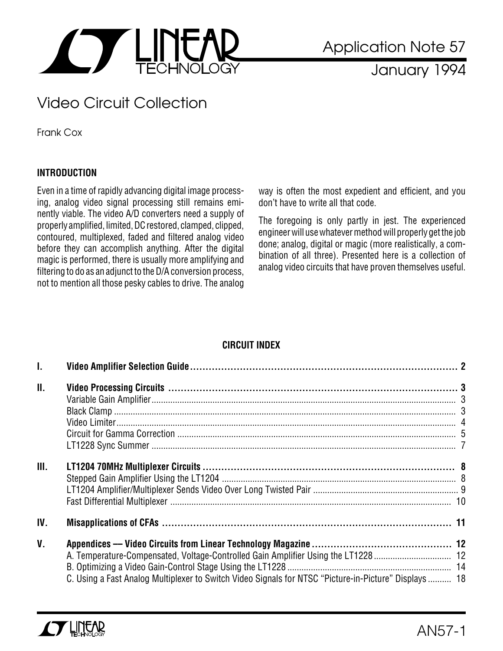

January 1994

# Video Circuit Collection

Frank Cox

### **INTRODUCTION**

Even in a time of rapidly advancing digital image processing, analog video signal processing still remains eminently viable. The video A/D converters need a supply of properly amplified, limited, DC restored, clamped, clipped, contoured, multiplexed, faded and filtered analog video before they can accomplish anything. After the digital magic is performed, there is usually more amplifying and filtering to do as an adjunct to the D/A conversion process, not to mention all those pesky cables to drive. The analog

way is often the most expedient and efficient, and you don't have to write all that code.

The foregoing is only partly in jest. The experienced engineer will use whatever method will properly get the job done; analog, digital or magic (more realistically, a combination of all three). Presented here is a collection of analog video circuits that have proven themselves useful.

## **CIRCUIT INDEX**

| $\mathbf{L}$    |                                                                                                       |  |
|-----------------|-------------------------------------------------------------------------------------------------------|--|
| $\mathbf{II}$ . |                                                                                                       |  |
| III.            |                                                                                                       |  |
| IV.             |                                                                                                       |  |
| $V_{\cdot}$     | C. Using a Fast Analog Multiplexer to Switch Video Signals for NTSC "Picture-in-Picture" Displays  18 |  |

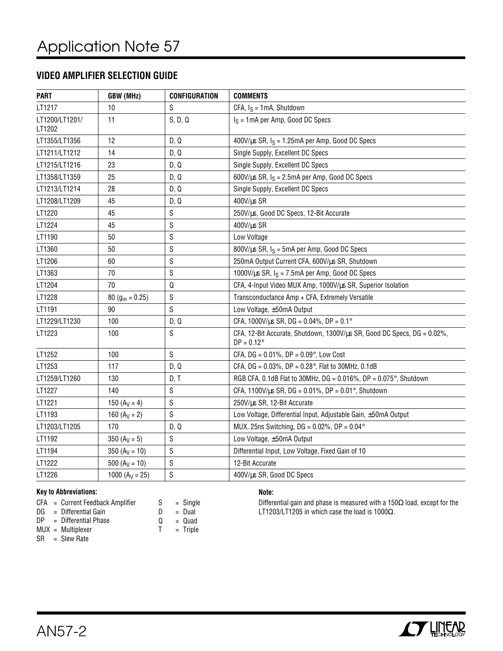### **VIDEO AMPLIFIER SELECTION GUIDE**

| <b>PART</b>              | GBW (MHz)           | <b>CONFIGURATION</b> | <b>COMMENTS</b>                                                                                |
|--------------------------|---------------------|----------------------|------------------------------------------------------------------------------------------------|
| LT1217                   | 10                  | S                    | CFA, $I_S = 1mA$ , Shutdown                                                                    |
| LT1200/LT1201/<br>LT1202 | 11                  | S, D, Q              | $I_S = 1 \text{mA}$ per Amp, Good DC Specs                                                     |
| LT1355/LT1356            | 12                  | D, Q                 | $400V/\mu s$ SR, $I_S = 1.25mA$ per Amp, Good DC Specs                                         |
| LT1211/LT1212            | 14                  | D, Q                 | Single Supply, Excellent DC Specs                                                              |
| LT1215/LT1216            | 23                  | D, Q                 | Single Supply, Excellent DC Specs                                                              |
| LT1358/LT1359            | 25                  | D, Q                 | 600V/ $\mu$ s SR, $I_S = 2.5$ mA per Amp, Good DC Specs                                        |
| LT1213/LT1214            | 28                  | D, Q                 | Single Supply, Excellent DC Specs                                                              |
| LT1208/LT1209            | 45                  | D, Q                 | 400V/us SR                                                                                     |
| LT1220                   | 45                  | S                    | 250V/µs, Good DC Specs, 12-Bit Accurate                                                        |
| LT1224                   | 45                  | S                    | 400V/us SR                                                                                     |
| LT1190                   | 50                  | S                    | Low Voltage                                                                                    |
| LT1360                   | 50                  | S                    | $800$ V/µs SR, $I_S = 5$ mA per Amp, Good DC Specs                                             |
| LT1206                   | 60                  | S                    | 250mA Output Current CFA, 600V/us SR, Shutdown                                                 |
| LT1363                   | 70                  | S                    | 1000V/ $\mu$ s SR, $I_S$ = 7.5mA per Amp, Good DC Specs                                        |
| LT1204                   | 70                  | Q                    | CFA, 4-Input Video MUX Amp, 1000V/us SR, Superior Isolation                                    |
| LT1228                   | 80 ( $g_m = 0.25$ ) | S                    | Transconductance Amp + CFA, Extremely Versatile                                                |
| LT1191                   | 90                  | S                    | Low Voltage, ±50mA Output                                                                      |
| LT1229/LT1230            | 100                 | D, Q                 | CFA, 1000V/ $\mu$ s SR, DG = 0.04%, DP = 0.1°                                                  |
| LT1223                   | 100                 | S                    | CFA, 12-Bit Accurate, Shutdown, 1300V/us SR, Good DC Specs, DG = 0.02%,<br>$DP = 0.12^{\circ}$ |
| LT1252                   | 100                 | S                    | CFA, DG = $0.01\%$ , DP = $0.09\degree$ , Low Cost                                             |
| LT1253                   | 117                 | D, Q                 | CFA, DG = $0.03\%$ , DP = $0.28\degree$ , Flat to 30MHz, 0.1dB                                 |
| LT1259/LT1260            | 130                 | D, T                 | RGB CFA, 0.1dB Flat to 30MHz, DG = 0.016%, DP = 0.075°, Shutdown                               |
| LT1227                   | 140                 | S                    | CFA, 1100V/us SR, DG = $0.01\%$ , DP = $0.01\%$ , Shutdown                                     |
| LT1221                   | 150 $(A_V = 4)$     | S                    | 250V/us SR, 12-Bit Accurate                                                                    |
| LT1193                   | 160 $(A_V = 2)$     | S                    | Low Voltage, Differential Input, Adjustable Gain, ±50mA Output                                 |
| LT1203/LT1205            | 170                 | D, Q                 | MUX, 25ns Switching, DG = $0.02\%$ , DP = $0.04\degree$                                        |
| LT1192                   | 350 $(A_V = 5)$     | S                    | Low Voltage, ±50mA Output                                                                      |
| LT1194                   | $350 (A_V = 10)$    | S                    | Differential Input, Low Voltage, Fixed Gain of 10                                              |
| LT1222                   | 500 ( $A_V = 10$ )  | S                    | 12-Bit Accurate                                                                                |
| LT1226                   | 1000 ( $A_V = 25$ ) | S                    | 400V/us SR, Good DC Specs                                                                      |

#### **Key to Abbreviations:**

|  | $CFA = Current Feedback Amplifier$ | S. | $=$ Single |
|--|------------------------------------|----|------------|
|  | $DG = Differential Gain$           |    | = Dual     |
|  | $DP = Differential Phase$          |    | $Q = Quad$ |

T = Triple

- MUX = Multiplexer
- $SR = Slew Rate$

### **Note:**

Differential gain and phase is measured with a 150Ω load, except for the LT1203/LT1205 in which case the load is 1000Ω.

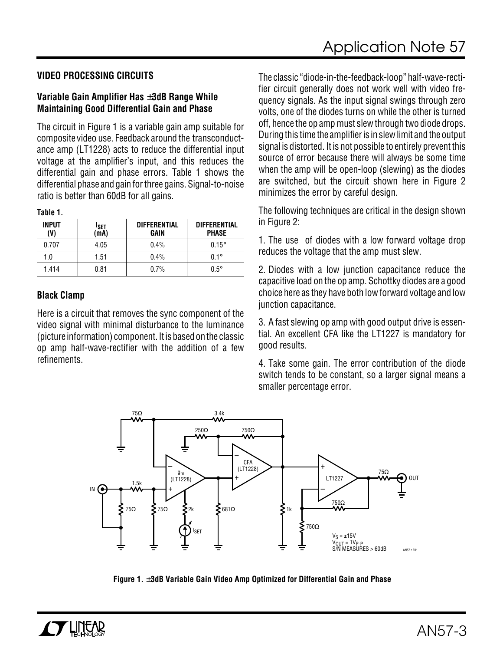### **VIDEO PROCESSING CIRCUITS**

### **Variable Gain Amplifier Has** ±**3dB Range While Maintaining Good Differential Gain and Phase**

The circuit in Figure 1 is a variable gain amp suitable for composite video use. Feedback around the transconductance amp (LT1228) acts to reduce the differential input voltage at the amplifier's input, and this reduces the differential gain and phase errors. Table 1 shows the differential phase and gain for three gains. Signal-to-noise ratio is better than 60dB for all gains.

| nı<br>ı<br>п |  |
|--------------|--|
|--------------|--|

| <b>INPUT</b><br>(V) | <b>ISET</b><br>(mA) | <b>DIFFERENTIAL</b><br>GAIN | <b>DIFFERENTIAL</b><br><b>PHASE</b> |
|---------------------|---------------------|-----------------------------|-------------------------------------|
| 0.707               | 4.05                | $0.4\%$                     | $0.15^\circ$                        |
| 1.0                 | 1.51                | $0.4\%$                     | $0.1^\circ$                         |
| 1.414               | 0.81                | 0.7%                        | $0.5^\circ$                         |

### **Black Clamp**

Here is a circuit that removes the sync component of the video signal with minimal disturbance to the luminance (picture information) component. It is based on the classic op amp half-wave-rectifier with the addition of a few refinements.

The classic "diode-in-the-feedback-loop" half-wave-rectifier circuit generally does not work well with video frequency signals. As the input signal swings through zero volts, one of the diodes turns on while the other is turned off, hence the op amp must slew through two diode drops. During this time the amplifier is in slew limit and the output signal is distorted. It is not possible to entirely prevent this source of error because there will always be some time when the amp will be open-loop (slewing) as the diodes are switched, but the circuit shown here in Figure 2 minimizes the error by careful design.

The following techniques are critical in the design shown in Figure 2:

1. The use of diodes with a low forward voltage drop reduces the voltage that the amp must slew.

2. Diodes with a low junction capacitance reduce the capacitive load on the op amp. Schottky diodes are a good choice here as they have both low forward voltage and low junction capacitance.

3. A fast slewing op amp with good output drive is essential. An excellent CFA like the LT1227 is mandatory for good results.

4. Take some gain. The error contribution of the diode switch tends to be constant, so a larger signal means a smaller percentage error.



**Figure 1.** ±**3dB Variable Gain Video Amp Optimized for Differential Gain and Phase**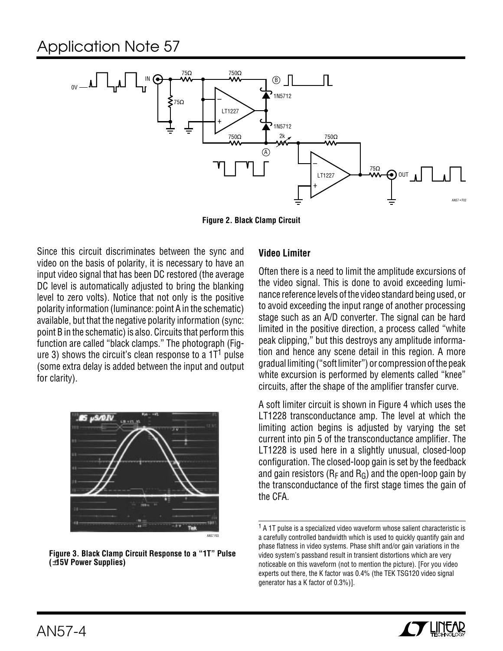

**Figure 2. Black Clamp Circuit**

Since this circuit discriminates between the sync and video on the basis of polarity, it is necessary to have an input video signal that has been DC restored (the average DC level is automatically adjusted to bring the blanking level to zero volts). Notice that not only is the positive polarity information (luminance: point A in the schematic) available, but that the negative polarity information (sync: point B in the schematic) is also. Circuits that perform this function are called "black clamps." The photograph (Figure 3) shows the circuit's clean response to a  $1T<sup>1</sup>$  pulse (some extra delay is added between the input and output for clarity).



**Figure 3. Black Clamp Circuit Response to a "1T" Pulse (**±**15V Power Supplies)**

### **Video Limiter**

Often there is a need to limit the amplitude excursions of the video signal. This is done to avoid exceeding luminance reference levels of the video standard being used, or to avoid exceeding the input range of another processing stage such as an A/D converter. The signal can be hard limited in the positive direction, a process called "white peak clipping," but this destroys any amplitude information and hence any scene detail in this region. A more gradual limiting ("soft limiter") or compression of the peak white excursion is performed by elements called "knee" circuits, after the shape of the amplifier transfer curve.

A soft limiter circuit is shown in Figure 4 which uses the LT1228 transconductance amp. The level at which the limiting action begins is adjusted by varying the set current into pin 5 of the transconductance amplifier. The LT1228 is used here in a slightly unusual, closed-loop configuration. The closed-loop gain is set by the feedback and gain resistors ( $R_F$  and  $R_G$ ) and the open-loop gain by the transconductance of the first stage times the gain of the CFA.

<sup>&</sup>lt;sup>1</sup> A 1T pulse is a specialized video waveform whose salient characteristic is a carefully controlled bandwidth which is used to quickly quantify gain and phase flatness in video systems. Phase shift and/or gain variations in the video system's passband result in transient distortions which are very noticeable on this waveform (not to mention the picture). [For you video experts out there, the K factor was 0.4% (the TEK TSG120 video signal generator has a K factor of 0.3%)].

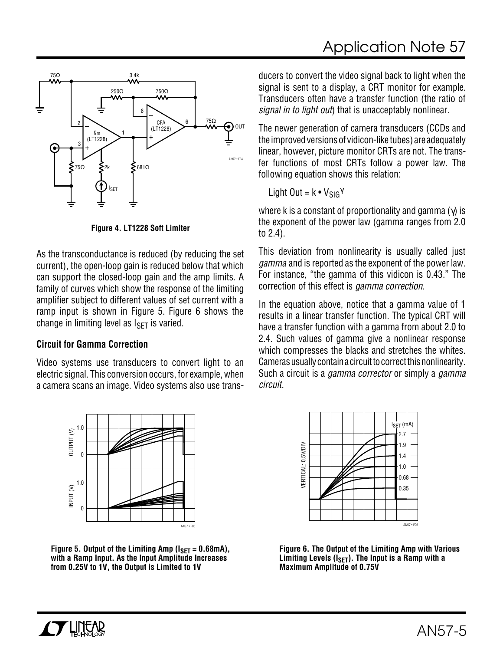

**Figure 4. LT1228 Soft Limiter**

As the transconductance is reduced (by reducing the set current), the open-loop gain is reduced below that which can support the closed-loop gain and the amp limits. A family of curves which show the response of the limiting amplifier subject to different values of set current with a ramp input is shown in Figure 5. Figure 6 shows the change in limiting level as  $I_{SFT}$  is varied.

### **Circuit for Gamma Correction**

Video systems use transducers to convert light to an electric signal. This conversion occurs, for example, when a camera scans an image. Video systems also use trans-



Figure 5. Output of the Limiting Amp ( $I_{\text{SET}} = 0.68 \text{mA}$ ), **with a Ramp Input. As the Input Amplitude Increases from 0.25V to 1V, the Output is Limited to 1V**

ducers to convert the video signal back to light when the signal is sent to a display, a CRT monitor for example. Transducers often have a transfer function (the ratio of signal in to light out) that is unacceptably nonlinear.

The newer generation of camera transducers (CCDs and the improved versions of vidicon-like tubes) are adequately linear, however, picture monitor CRTs are not. The transfer functions of most CRTs follow a power law. The following equation shows this relation:

Light Out =  $k \cdot V_{SIG}$ <sup>γ</sup>

where k is a constant of proportionality and gamma  $(\gamma)$  is the exponent of the power law (gamma ranges from 2.0 to 2.4).

This deviation from nonlinearity is usually called just gamma and is reported as the exponent of the power law. For instance, "the gamma of this vidicon is 0.43." The correction of this effect is gamma correction.

In the equation above, notice that a gamma value of 1 results in a linear transfer function. The typical CRT will have a transfer function with a gamma from about 2.0 to 2.4. Such values of gamma give a nonlinear response which compresses the blacks and stretches the whites. Cameras usually contain a circuit to correct this nonlinearity. Such a circuit is a *gamma corrector* or simply a *gamma* circuit.



**Figure 6. The Output of the Limiting Amp with Various** Limiting Levels (I<sub>SET</sub>). The Input is a Ramp with a **Maximum Amplitude of 0.75V**

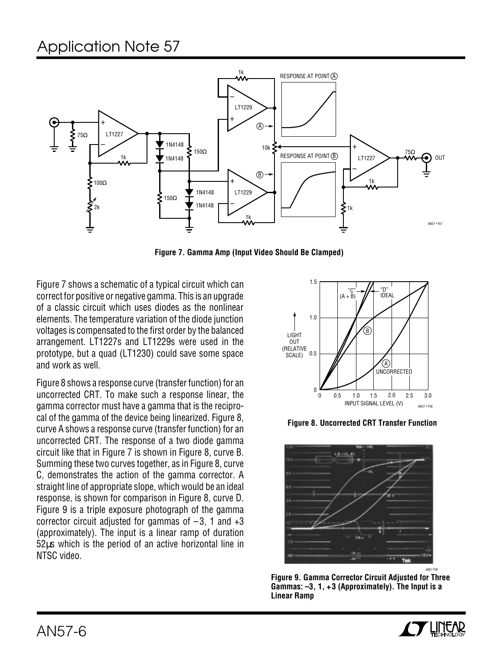

**Figure 7. Gamma Amp (Input Video Should Be Clamped)**

Figure 7 shows a schematic of a typical circuit which can correct for positive or negative gamma. This is an upgrade of a classic circuit which uses diodes as the nonlinear elements. The temperature variation of the diode junction voltages is compensated to the first order by the balanced arrangement. LT1227s and LT1229s were used in the prototype, but a quad (LT1230) could save some space and work as well.

Figure 8 shows a response curve (transfer function) for an uncorrected CRT. To make such a response linear, the gamma corrector must have a gamma that is the reciprocal of the gamma of the device being linearized. Figure 8, curve A shows a response curve (transfer function) for an uncorrected CRT. The response of a two diode gamma circuit like that in Figure 7 is shown in Figure 8, curve B. Summing these two curves together, as in Figure 8, curve C, demonstrates the action of the gamma corrector. A straight line of appropriate slope, which would be an ideal response, is shown for comparison in Figure 8, curve D. Figure 9 is a triple exposure photograph of the gamma corrector circuit adjusted for gammas of  $-3$ , 1 and  $+3$ (approximately). The input is a linear ramp of duration 52µs which is the period of an active horizontal line in NTSC video.



**Figure 8. Uncorrected CRT Transfer Function**



**Figure 9. Gamma Corrector Circuit Adjusted for Three Gammas: –3, 1, +3 (Approximately). The Input is a Linear Ramp**

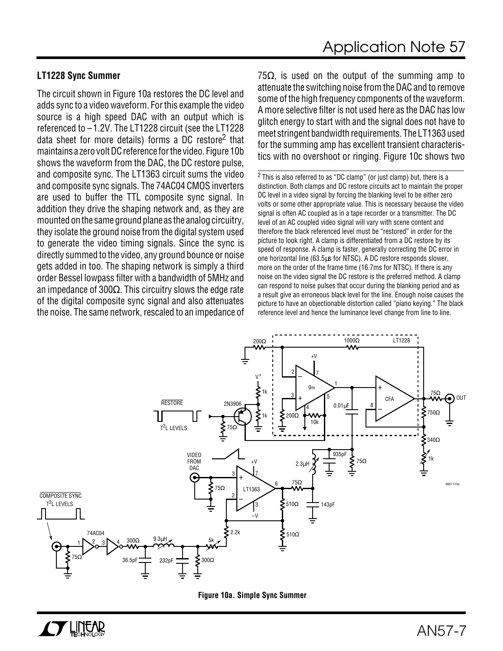### **LT1228 Sync Summer**

The circuit shown in Figure 10a restores the DC level and adds sync to a video waveform. For this example the video source is a high speed DAC with an output which is referenced to –1.2V. The LT1228 circuit (see the LT1228 data sheet for more details) forms a DC restore<sup>2</sup> that maintains a zero volt DC reference for the video. Figure 10b shows the waveform from the DAC, the DC restore pulse, and composite sync. The LT1363 circuit sums the video and composite sync signals. The 74AC04 CMOS inverters are used to buffer the TTL composite sync signal. In addition they drive the shaping network and, as they are mounted on the same ground plane as the analog circuitry, they isolate the ground noise from the digital system used to generate the video timing signals. Since the sync is directly summed to the video, any ground bounce or noise gets added in too. The shaping network is simply a third order Bessel lowpass filter with a bandwidth of 5MHz and an impedance of 300 $\Omega$ . This circuitry slows the edge rate of the digital composite sync signal and also attenuates the noise. The same network, rescaled to an impedance of

75 $\Omega$ , is used on the output of the summing amp to attenuate the switching noise from the DAC and to remove some of the high frequency components of the waveform. A more selective filter is not used here as the DAC has low glitch energy to start with and the signal does not have to meet stringent bandwidth requirements. The LT1363 used for the summing amp has excellent transient characteristics with no overshoot or ringing. Figure 10c shows two

2 This is also referred to as "DC clamp" (or just clamp) but, there is a distinction. Both clamps and DC restore circuits act to maintain the proper DC level in a video signal by forcing the blanking level to be either zero volts or some other appropriate value. This is necessary because the video signal is often AC coupled as in a tape recorder or a transmitter. The DC level of an AC coupled video signal will vary with scene content and therefore the black referenced level must be "restored" in order for the picture to look right. A clamp is differentiated from a DC restore by its speed of response. A clamp is faster, generally correcting the DC error in one horizontal line (63.5µs for NTSC). A DC restore responds slower, more on the order of the frame time (16.7ms for NTSC). If there is any noise on the video signal the DC restore is the preferred method. A clamp can respond to noise pulses that occur during the blanking period and as a result give an erroneous black level for the line. Enough noise causes the picture to have an objectionable distortion called "piano keying." The black reference level and hence the luminance level change from line to line.



![](_page_6_Figure_6.jpeg)

![](_page_6_Picture_7.jpeg)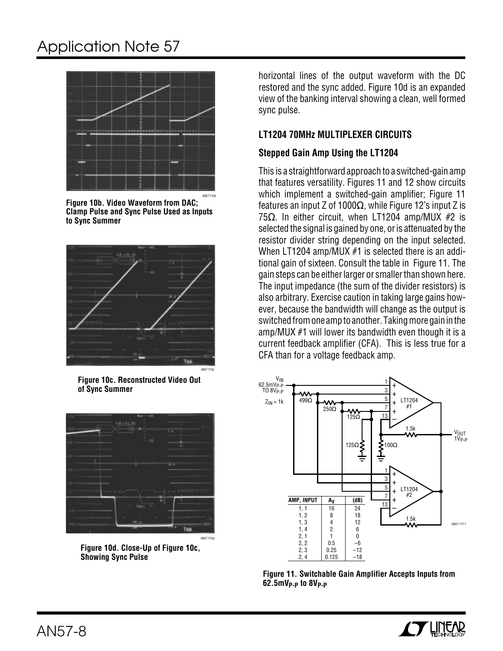# Application Note 57

![](_page_7_Figure_1.jpeg)

**Figure 10b. Video Waveform from DAC; Clamp Pulse and Sync Pulse Used as Inputs to Sync Summer**

![](_page_7_Picture_3.jpeg)

**Figure 10c. Reconstructed Video Out of Sync Summer**

![](_page_7_Picture_5.jpeg)

**Figure 10d. Close-Up of Figure 10c, Showing Sync Pulse**

horizontal lines of the output waveform with the DC restored and the sync added. Figure 10d is an expanded view of the banking interval showing a clean, well formed sync pulse.

### **LT1204 70MHz MULTIPLEXER CIRCUITS**

### **Stepped Gain Amp Using the LT1204**

This is a straightforward approach to a switched-gain amp that features versatility. Figures 11 and 12 show circuits which implement a switched-gain amplifier; Figure 11 features an input Z of 1000 $\Omega$ , while Figure 12's input Z is 75Ω. In either circuit, when LT1204 amp/MUX #2 is selected the signal is gained by one, or is attenuated by the resistor divider string depending on the input selected. When LT1204 amp/MUX #1 is selected there is an additional gain of sixteen. Consult the table in Figure 11. The gain steps can be either larger or smaller than shown here. The input impedance (the sum of the divider resistors) is also arbitrary. Exercise caution in taking large gains however, because the bandwidth will change as the output is switched from one amp to another. Taking more gain in the amp/MUX #1 will lower its bandwidth even though it is a current feedback amplifier (CFA). This is less true for a CFA than for a voltage feedback amp.

![](_page_7_Figure_11.jpeg)

**Figure 11. Switchable Gain Amplifier Accepts Inputs from 62.5mVP-P to 8VP-P**

![](_page_7_Picture_13.jpeg)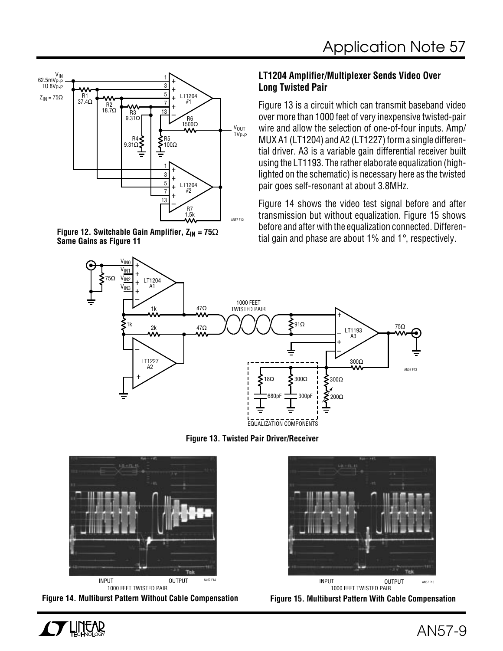![](_page_8_Figure_1.jpeg)

**Same Gains as Figure 11**

### **LT1204 Amplifier/Multiplexer Sends Video Over Long Twisted Pair**

Figure 13 is a circuit which can transmit baseband video over more than 1000 feet of very inexpensive twisted-pair wire and allow the selection of one-of-four inputs. Amp/ MUX A1 (LT1204) and A2 (LT1227) form a single differential driver. A3 is a variable gain differential receiver built using the LT1193. The rather elaborate equalization (highlighted on the schematic) is necessary here as the twisted pair goes self-resonant at about 3.8MHz.

Figure 14 shows the video test signal before and after transmission but without equalization. Figure 15 shows before and after with the equalization connected. Differential gain and phase are about 1% and 1°, respectively. **Figure 12. Switchable Gain Amplifier, ZIN = 75**<sup>Ω</sup>

![](_page_8_Figure_6.jpeg)

**Figure 13. Twisted Pair Driver/Receiver**

![](_page_8_Picture_8.jpeg)

**Figure 14. Multiburst Pattern Without Cable Compensation**

![](_page_8_Picture_10.jpeg)

**Figure 15. Multiburst Pattern With Cable Compensation**

![](_page_8_Picture_12.jpeg)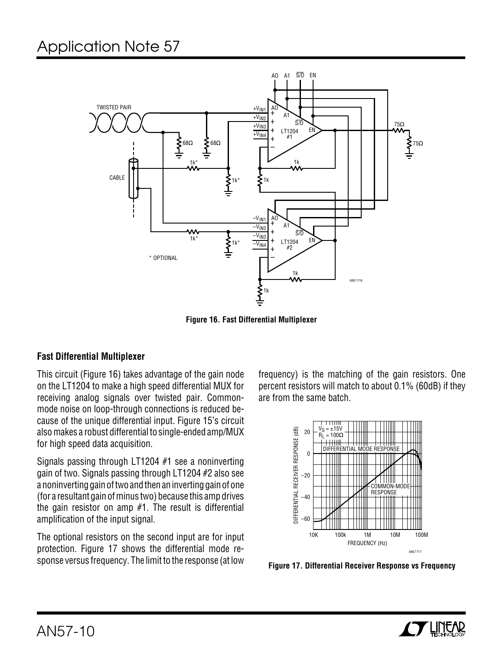![](_page_9_Figure_1.jpeg)

**Figure 16. Fast Differential Multiplexer**

### **Fast Differential Multiplexer**

This circuit (Figure 16) takes advantage of the gain node on the LT1204 to make a high speed differential MUX for receiving analog signals over twisted pair. Commonmode noise on loop-through connections is reduced because of the unique differential input. Figure 15's circuit also makes a robust differential to single-ended amp/MUX for high speed data acquisition.

Signals passing through LT1204 #1 see a noninverting gain of two. Signals passing through LT1204 #2 also see a noninverting gain of two and then an inverting gain of one (for a resultant gain of minus two) because this amp drives the gain resistor on amp #1. The result is differential amplification of the input signal.

The optional resistors on the second input are for input protection. Figure 17 shows the differential mode response versus frequency. The limit to the response (at low

frequency) is the matching of the gain resistors. One percent resistors will match to about 0.1% (60dB) if they are from the same batch.

![](_page_9_Figure_8.jpeg)

**Figure 17. Differential Receiver Response vs Frequency**

![](_page_9_Picture_10.jpeg)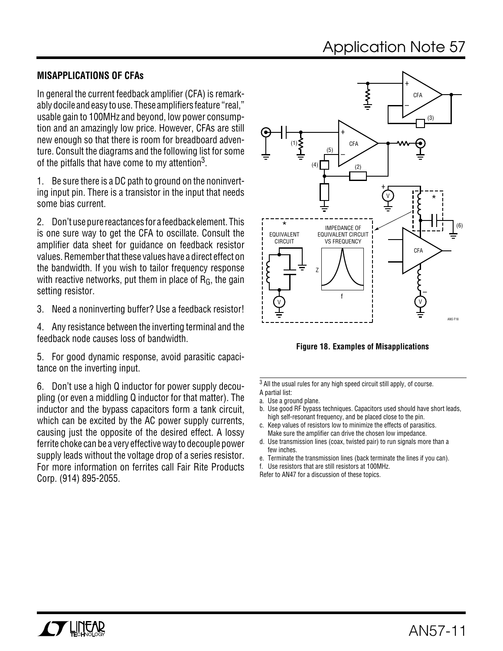# Application Note 57

## **MISAPPLICATIONS OF CFAs**

In general the current feedback amplifier (CFA) is remarkably docile and easy to use. These amplifiers feature "real," usable gain to 100MHz and beyond, low power consumption and an amazingly low price. However, CFAs are still new enough so that there is room for breadboard adventure. Consult the diagrams and the following list for some of the pitfalls that have come to my attention<sup>3</sup>.

1. Be sure there is a DC path to ground on the noninverting input pin. There is a transistor in the input that needs some bias current.

2. Don't use pure reactances for a feedback element. This is one sure way to get the CFA to oscillate. Consult the amplifier data sheet for guidance on feedback resistor values. Remember that these values have a direct effect on the bandwidth. If you wish to tailor frequency response with reactive networks, put them in place of  $R_G$ , the gain setting resistor.

3. Need a noninverting buffer? Use a feedback resistor!

4. Any resistance between the inverting terminal and the feedback node causes loss of bandwidth.

5. For good dynamic response, avoid parasitic capacitance on the inverting input.

6. Don't use a high Q inductor for power supply decoupling (or even a middling Q inductor for that matter). The inductor and the bypass capacitors form a tank circuit, which can be excited by the AC power supply currents, causing just the opposite of the desired effect. A lossy ferrite choke can be a very effective way to decouple power supply leads without the voltage drop of a series resistor. For more information on ferrites call Fair Rite Products Corp. (914) 895-2055.

![](_page_10_Figure_9.jpeg)

**Figure 18. Examples of Misapplications**

3 All the usual rules for any high speed circuit still apply, of course. A partial list:

- b. Use good RF bypass techniques. Capacitors used should have short leads, high self-resonant frequency, and be placed close to the pin.
- c. Keep values of resistors low to minimize the effects of parasitics. Make sure the amplifier can drive the chosen low impedance.
- d. Use transmission lines (coax, twisted pair) to run signals more than a few inches.
- e. Terminate the transmission lines (back terminate the lines if you can).
- f. Use resistors that are still resistors at 100MHz.
- Refer to AN47 for a discussion of these topics.

a. Use a ground plane.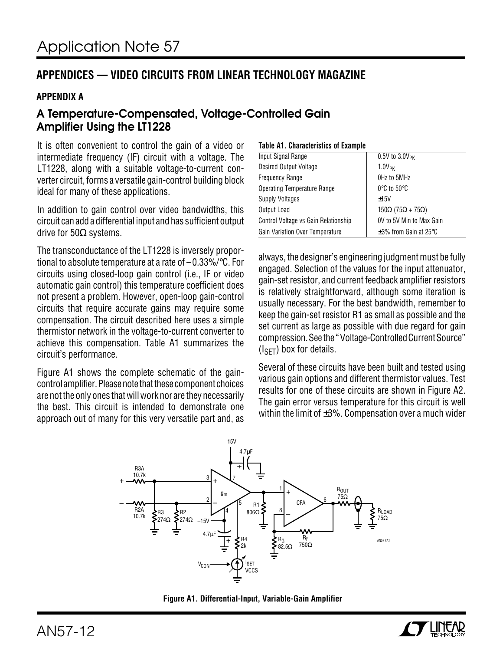## **APPENDICES –– VIDEO CIRCUITS FROM LINEAR TECHNOLOGY MAGAZINE**

### **APPENDIX A**

## **A Temperature-Compensated, Voltage-Controlled Gain Amplifier Using the LT1228**

It is often convenient to control the gain of a video or intermediate frequency (IF) circuit with a voltage. The LT1228, along with a suitable voltage-to-current converter circuit, forms a versatile gain-control building block ideal for many of these applications.

In addition to gain control over video bandwidths, this circuit can add a differential input and has sufficient output drive for 50Ω systems.

The transconductance of the LT1228 is inversely proportional to absolute temperature at a rate of –0.33%/°C. For circuits using closed-loop gain control (i.e., IF or video automatic gain control) this temperature coefficient does not present a problem. However, open-loop gain-control circuits that require accurate gains may require some compensation. The circuit described here uses a simple thermistor network in the voltage-to-current converter to achieve this compensation. Table A1 summarizes the circuit's performance.

Figure A1 shows the complete schematic of the gaincontrol amplifier. Please note that these component choices are not the only ones that will work nor are they necessarily the best. This circuit is intended to demonstrate one approach out of many for this very versatile part and, as

### **Table A1. Characteristics of Example**

| Input Signal Range                   | $0.5V$ to $3.0V$ <sub>PK</sub>            |
|--------------------------------------|-------------------------------------------|
| Desired Output Voltage               | $1.0V_{PK}$                               |
| <b>Frequency Range</b>               | OHz to 5MHz                               |
| <b>Operating Temperature Range</b>   | $0^\circ$ C to 50 $^\circ$ C              |
| <b>Supply Voltages</b>               | ±15V                                      |
| Output Load                          | 150 $\Omega$ (75 $\Omega$ + 75 $\Omega$ ) |
| Control Voltage vs Gain Relationship | OV to 5V Min to Max Gain                  |
| Gain Variation Over Temperature      | $\pm 3\%$ from Gain at 25 $\degree$ C     |

always, the designer's engineering judgment must be fully engaged. Selection of the values for the input attenuator, gain-set resistor, and current feedback amplifier resistors is relatively straightforward, although some iteration is usually necessary. For the best bandwidth, remember to keep the gain-set resistor R1 as small as possible and the set current as large as possible with due regard for gain compression. See the " Voltage-Controlled Current Source"  $(I<sub>SET</sub>)$  box for details.

Several of these circuits have been built and tested using various gain options and different thermistor values. Test results for one of these circuits are shown in Figure A2. The gain error versus temperature for this circuit is well within the limit of ±3%. Compensation over a much wider

![](_page_11_Figure_12.jpeg)

![](_page_11_Figure_13.jpeg)

![](_page_11_Picture_14.jpeg)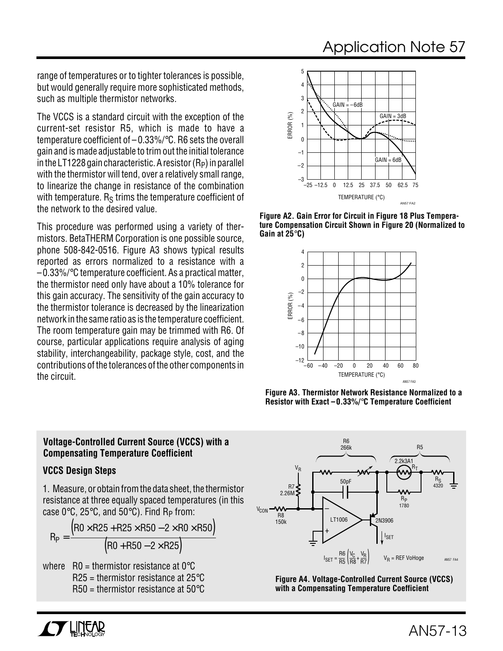## Application Note 57

range of temperatures or to tighter tolerances is possible, but would generally require more sophisticated methods, such as multiple thermistor networks.

The VCCS is a standard circuit with the exception of the current-set resistor R5, which is made to have a temperature coefficient of – 0.33%/°C. R6 sets the overall gain and is made adjustable to trim out the initial tolerance in the LT1228 gain characteristic. A resistor  $(R_P)$  in parallel with the thermistor will tend, over a relatively small range, to linearize the change in resistance of the combination with temperature.  $R<sub>S</sub>$  trims the temperature coefficient of the network to the desired value.

This procedure was performed using a variety of thermistors. BetaTHERM Corporation is one possible source, phone 508-842-0516. Figure A3 shows typical results reported as errors normalized to a resistance with a –0.33%/°C temperature coefficient. As a practical matter, the thermistor need only have about a 10% tolerance for this gain accuracy. The sensitivity of the gain accuracy to the thermistor tolerance is decreased by the linearization network in the same ratio as is the temperature coefficient. The room temperature gain may be trimmed with R6. Of course, particular applications require analysis of aging stability, interchangeability, package style, cost, and the contributions of the tolerances of the other components in the circuit.

![](_page_12_Figure_4.jpeg)

**Figure A2. Gain Error for Circuit in Figure 18 Plus Temperature Compensation Circuit Shown in Figure 20 (Normalized to Gain at 25**°**C)**

![](_page_12_Figure_6.jpeg)

**Figure A3. Thermistor Network Resistance Normalized to a Resistor with Exact –0.33%/**°**C Temperature Coefficient**

### **Voltage-Controlled Current Source (VCCS) with a Compensating Temperature Coefficient**

### **VCCS Design Steps**

1. Measure, or obtain from the data sheet, the thermistor resistance at three equally spaced temperatures (in this case  $0^{\circ}$ C, 25 $^{\circ}$ C, and 50 $^{\circ}$ C). Find R<sub>P</sub> from:

$$
R_p = \frac{\left(R0 \times R25 + R25 \times R50 - 2 \times R0 \times R50\right)}{\left(R0 + R50 - 2 \times R25\right)}
$$

where  $R0 =$  thermistor resistance at 0 $^{\circ}$ C  $R25$  = thermistor resistance at 25 $\degree$ C  $R50$  = thermistor resistance at  $50^{\circ}$ C

![](_page_12_Figure_13.jpeg)

**Figure A4. Voltage-Controlled Current Source (VCCS) with a Compensating Temperature Coefficient**

![](_page_12_Picture_15.jpeg)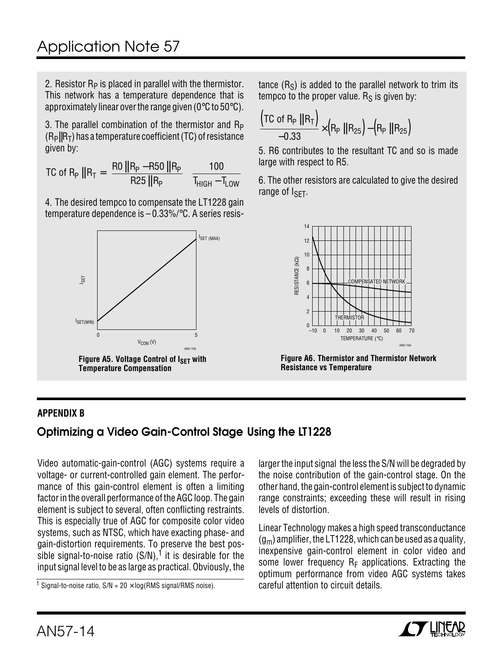2. Resistor  $R_P$  is placed in parallel with the thermistor. This network has a temperature dependence that is approximately linear over the range given (0°C to 50°C).

3. The parallel combination of the thermistor and  $R<sub>P</sub>$  $(R<sub>P</sub>||R<sub>T</sub>)$  has a temperature coefficient (TC) of resistance given by:

$$
TC \text{ of } R_P \parallel R_T = \left(\frac{RO \parallel R_P - R50 \parallel R_P}{R25 \parallel R_P}\right) \left(\frac{100}{T_{HIGH} - T_{LOW}}\right)
$$

4. The desired tempco to compensate the LT1228 gain temperature dependence is – 0.33%/°C. A series resis-

![](_page_13_Figure_5.jpeg)

tance  $(R<sub>S</sub>)$  is added to the parallel network to trim its tempco to the proper value.  $R<sub>S</sub>$  is given by:

$$
\frac{(\text{TC of R}_P \parallel \text{R}_T)}{-0.33} \times (\text{R}_P \parallel \text{R}_{25}) - (\text{R}_P \parallel \text{R}_{25})
$$

5. R6 contributes to the resultant TC and so is made large with respect to R5.

6. The other resistors are calculated to give the desired range of I<sub>SFT</sub>.

![](_page_13_Figure_10.jpeg)

**Figure A6. Thermistor and Thermistor Network Resistance vs Temperature**

## **APPENDIX B**

## **Optimizing a Video Gain-Control Stage Using the LT1228**

Video automatic-gain-control (AGC) systems require a voltage- or current-controlled gain element. The performance of this gain-control element is often a limiting factor in the overall performance of the AGC loop. The gain element is subject to several, often conflicting restraints. This is especially true of AGC for composite color video systems, such as NTSC, which have exacting phase- and gain-distortion requirements. To preserve the best possible signal-to-noise ratio  $(S/N)$ ,<sup>1</sup> it is desirable for the input signal level to be as large as practical. Obviously, the

<sup>1</sup> Signal-to-noise ratio,  $S/N = 20 \times log(RMS \text{ signal}/RMS \text{ noise}).$ 

larger the input signal the less the S/N will be degraded by the noise contribution of the gain-control stage. On the other hand, the gain-control element is subject to dynamic range constraints; exceeding these will result in rising levels of distortion.

Linear Technology makes a high speed transconductance  $(g_m)$  amplifier, the LT1228, which can be used as a quality, inexpensive gain-control element in color video and some lower frequency  $R_F$  applications. Extracting the optimum performance from video AGC systems takes careful attention to circuit details.

![](_page_13_Picture_18.jpeg)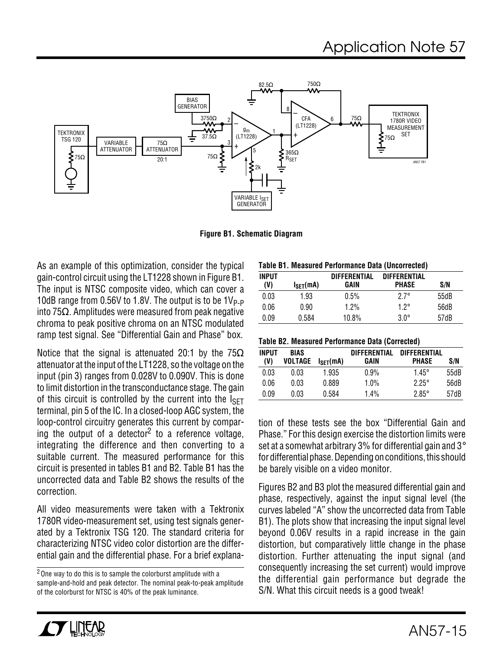![](_page_14_Figure_1.jpeg)

**Figure B1. Schematic Diagram**

As an example of this optimization, consider the typical gain-control circuit using the LT1228 shown in Figure B1. The input is NTSC composite video, which can cover a 10dB range from 0.56V to 1.8V. The output is to be  $1V_{\text{P-P}}$ into 75 $Ω$ . Amplitudes were measured from peak negative chroma to peak positive chroma on an NTSC modulated ramp test signal. See "Differential Gain and Phase" box.

Notice that the signal is attenuated 20:1 by the  $75\Omega$ attenuator at the input of the LT1228, so the voltage on the input (pin 3) ranges from 0.028V to 0.090V. This is done to limit distortion in the transconductance stage. The gain of this circuit is controlled by the current into the  $I_{\text{SFT}}$ terminal, pin 5 of the IC. In a closed-loop AGC system, the loop-control circuitry generates this current by comparing the output of a detector<sup>2</sup> to a reference voltage, integrating the difference and then converting to a suitable current. The measured performance for this circuit is presented in tables B1 and B2. Table B1 has the uncorrected data and Table B2 shows the results of the correction.

All video measurements were taken with a Tektronix 1780R video-measurement set, using test signals generated by a Tektronix TSG 120. The standard criteria for characterizing NTSC video color distortion are the differential gain and the differential phase. For a brief explana-

2One way to do this is to sample the colorburst amplitude with a sample-and-hold and peak detector. The nominal peak-to-peak amplitude of the colorburst for NTSC is 40% of the peak luminance.

| Table B1. Measured Performance Data (Uncorrected) |
|---------------------------------------------------|
|---------------------------------------------------|

| <b>INPUT</b> |                       | DIFFERENTIAL | <b>DIFFERENTIAL</b> |      |
|--------------|-----------------------|--------------|---------------------|------|
| (V)          | $I_{\text{SFT}}$ (mA) | GAIN         | <b>PHASE</b>        | S/N  |
| 0.03         | 1.93                  | 0.5%         | $27^\circ$          | 55dB |
| 0.06         | 0.90                  | 1.2%         | 1 2°                | 56dB |
| 0.09         | 0.584                 | 10.8%        | $30^{\circ}$        | 57dB |

| Table B2. Measured Performance Data (Corrected) |  |  |  |  |
|-------------------------------------------------|--|--|--|--|
|-------------------------------------------------|--|--|--|--|

| <b>INPUT</b><br>(V) | <b>BIAS</b><br>VOLTAGE | I <sub>SFT</sub> (mA) | <b>DIFFFRENTIAL</b><br>GAIN | <b>DIFFERENTIAL</b><br><b>PHASE</b> | S/N  |
|---------------------|------------------------|-----------------------|-----------------------------|-------------------------------------|------|
| 0.03                | 0.03                   | 1.935                 | 0.9%                        | $1.45^{\circ}$                      | 55dB |
| 0.06                | 0.03                   | 0.889                 | 1.0%                        | $2.25^\circ$                        | 56dB |
| 0.09                | 0.03                   | 0.584                 | 1.4%                        | $2.85^\circ$                        | 57dB |

tion of these tests see the box "Differential Gain and Phase." For this design exercise the distortion limits were set at a somewhat arbitrary 3% for differential gain and 3° for differential phase. Depending on conditions, this should be barely visible on a video monitor.

Figures B2 and B3 plot the measured differential gain and phase, respectively, against the input signal level (the curves labeled "A" show the uncorrected data from Table B1). The plots show that increasing the input signal level beyond 0.06V results in a rapid increase in the gain distortion, but comparatively little change in the phase distortion. Further attenuating the input signal (and consequently increasing the set current) would improve the differential gain performance but degrade the S/N. What this circuit needs is a good tweak!

![](_page_14_Picture_13.jpeg)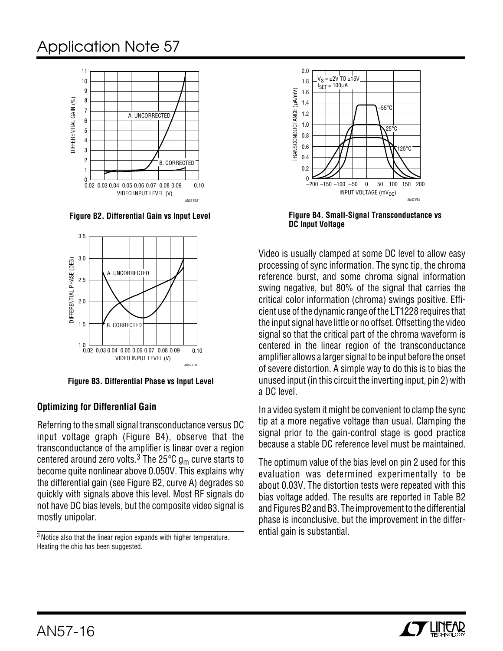![](_page_15_Figure_1.jpeg)

**Figure B2. Differential Gain vs Input Level**

![](_page_15_Figure_3.jpeg)

**Figure B3. Differential Phase vs Input Level**

### **Optimizing for Differential Gain**

Referring to the small signal transconductance versus DC input voltage graph (Figure B4), observe that the transconductance of the amplifier is linear over a region centered around zero volts.<sup>3</sup> The 25°C  $g_m$  curve starts to become quite nonlinear above 0.050V. This explains why the differential gain (see Figure B2, curve A) degrades so quickly with signals above this level. Most RF signals do not have DC bias levels, but the composite video signal is mostly unipolar.

<sup>3</sup> Notice also that the linear region expands with higher temperature. Heating the chip has been suggested.

![](_page_15_Figure_8.jpeg)

**Figure B4. Small-Signal Transconductance vs DC Input Voltage**

Video is usually clamped at some DC level to allow easy processing of sync information. The sync tip, the chroma reference burst, and some chroma signal information swing negative, but 80% of the signal that carries the critical color information (chroma) swings positive. Efficient use of the dynamic range of the LT1228 requires that the input signal have little or no offset. Offsetting the video signal so that the critical part of the chroma waveform is centered in the linear region of the transconductance amplifier allows a larger signal to be input before the onset of severe distortion. A simple way to do this is to bias the unused input (in this circuit the inverting input, pin 2) with a DC level.

In a video system it might be convenient to clamp the sync tip at a more negative voltage than usual. Clamping the signal prior to the gain-control stage is good practice because a stable DC reference level must be maintained.

The optimum value of the bias level on pin 2 used for this evaluation was determined experimentally to be about 0.03V. The distortion tests were repeated with this bias voltage added. The results are reported in Table B2 and Figures B2 and B3. The improvement to the differential phase is inconclusive, but the improvement in the differential gain is substantial.

![](_page_15_Picture_13.jpeg)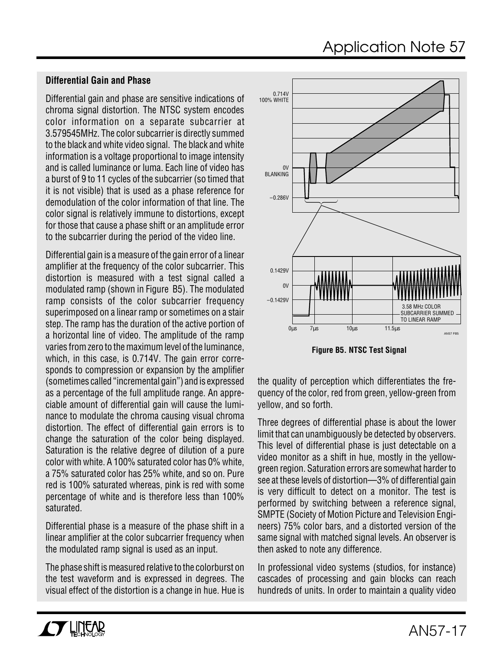### **Differential Gain and Phase**

Differential gain and phase are sensitive indications of chroma signal distortion. The NTSC system encodes color information on a separate subcarrier at 3.579545MHz. The color subcarrier is directly summed to the black and white video signal. The black and white information is a voltage proportional to image intensity and is called luminance or luma. Each line of video has a burst of 9 to 11 cycles of the subcarrier (so timed that it is not visible) that is used as a phase reference for demodulation of the color information of that line. The color signal is relatively immune to distortions, except for those that cause a phase shift or an amplitude error to the subcarrier during the period of the video line.

Differential gain is a measure of the gain error of a linear amplifier at the frequency of the color subcarrier. This distortion is measured with a test signal called a modulated ramp (shown in Figure B5). The modulated ramp consists of the color subcarrier frequency superimposed on a linear ramp or sometimes on a stair step. The ramp has the duration of the active portion of a horizontal line of video. The amplitude of the ramp varies from zero to the maximum level of the luminance, which, in this case, is 0.714V. The gain error corresponds to compression or expansion by the amplifier (sometimes called "incremental gain") and is expressed as a percentage of the full amplitude range. An appreciable amount of differential gain will cause the luminance to modulate the chroma causing visual chroma distortion. The effect of differential gain errors is to change the saturation of the color being displayed. Saturation is the relative degree of dilution of a pure color with white. A 100% saturated color has 0% white, a 75% saturated color has 25% white, and so on. Pure red is 100% saturated whereas, pink is red with some percentage of white and is therefore less than 100% saturated.

Differential phase is a measure of the phase shift in a linear amplifier at the color subcarrier frequency when the modulated ramp signal is used as an input.

The phase shift is measured relative to the colorburst on the test waveform and is expressed in degrees. The visual effect of the distortion is a change in hue. Hue is

![](_page_16_Figure_6.jpeg)

**Figure B5. NTSC Test Signal**

the quality of perception which differentiates the frequency of the color, red from green, yellow-green from yellow, and so forth.

Three degrees of differential phase is about the lower limit that can unambiguously be detected by observers. This level of differential phase is just detectable on a video monitor as a shift in hue, mostly in the yellowgreen region. Saturation errors are somewhat harder to see at these levels of distortion—3% of differential gain is very difficult to detect on a monitor. The test is performed by switching between a reference signal, SMPTE (Society of Motion Picture and Television Engineers) 75% color bars, and a distorted version of the same signal with matched signal levels. An observer is then asked to note any difference.

In professional video systems (studios, for instance) cascades of processing and gain blocks can reach hundreds of units. In order to maintain a quality video

![](_page_16_Picture_11.jpeg)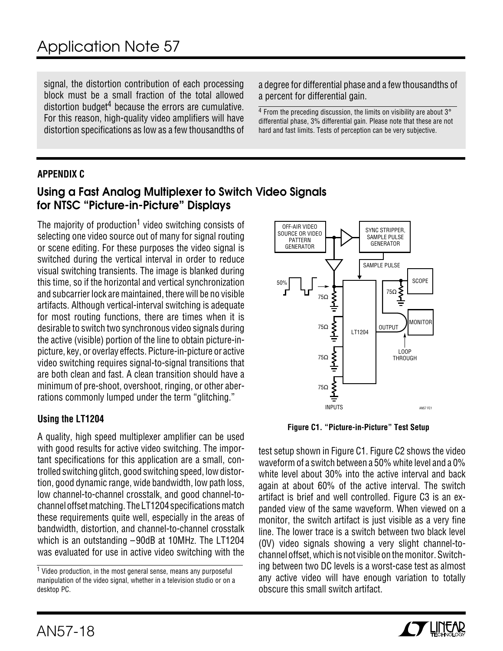signal, the distortion contribution of each processing block must be a small fraction of the total allowed distortion budget $4$  because the errors are cumulative. For this reason, high-quality video amplifiers will have distortion specifications as low as a few thousandths of a degree for differential phase and a few thousandths of a percent for differential gain.

 $4$  From the preceding discussion, the limits on visibility are about  $3^\circ$ differential phase, 3% differential gain. Please note that these are not hard and fast limits. Tests of perception can be very subjective.

### **APPENDIX C**

## **Using a Fast Analog Multiplexer to Switch Video Signals for NTSC "Picture-in-Picture" Displays**

The majority of production<sup>1</sup> video switching consists of selecting one video source out of many for signal routing or scene editing. For these purposes the video signal is switched during the vertical interval in order to reduce visual switching transients. The image is blanked during this time, so if the horizontal and vertical synchronization and subcarrier lock are maintained, there will be no visible artifacts. Although vertical-interval switching is adequate for most routing functions, there are times when it is desirable to switch two synchronous video signals during the active (visible) portion of the line to obtain picture-inpicture, key, or overlay effects. Picture-in-picture or active video switching requires signal-to-signal transitions that are both clean and fast. A clean transition should have a minimum of pre-shoot, overshoot, ringing, or other aberrations commonly lumped under the term "glitching."

### **Using the LT1204**

A quality, high speed multiplexer amplifier can be used with good results for active video switching. The important specifications for this application are a small, controlled switching glitch, good switching speed, low distortion, good dynamic range, wide bandwidth, low path loss, low channel-to-channel crosstalk, and good channel-tochannel offset matching. The LT1204 specifications match these requirements quite well, especially in the areas of bandwidth, distortion, and channel-to-channel crosstalk which is an outstanding –90dB at 10MHz. The LT1204 was evaluated for use in active video switching with the

![](_page_17_Figure_10.jpeg)

**Figure C1. "Picture-in-Picture" Test Setup**

test setup shown in Figure C1. Figure C2 shows the video waveform of a switch between a 50% white level and a 0% white level about 30% into the active interval and back again at about 60% of the active interval. The switch artifact is brief and well controlled. Figure C3 is an expanded view of the same waveform. When viewed on a monitor, the switch artifact is just visible as a very fine line. The lower trace is a switch between two black level (0V) video signals showing a very slight channel-tochannel offset, which is not visible on the monitor. Switching between two DC levels is a worst-case test as almost any active video will have enough variation to totally obscure this small switch artifact.

![](_page_17_Picture_13.jpeg)

<sup>1</sup> Video production, in the most general sense, means any purposeful manipulation of the video signal, whether in a television studio or on a desktop PC.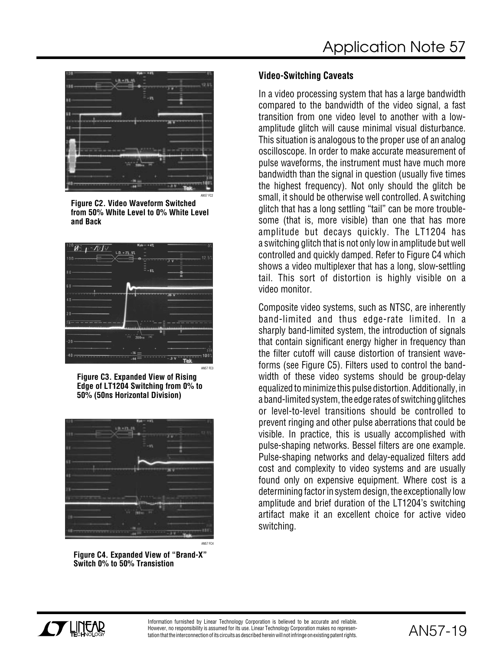![](_page_18_Picture_1.jpeg)

**Figure C2. Video Waveform Switched from 50% White Level to 0% White Level and Back**

![](_page_18_Figure_3.jpeg)

**Figure C3. Expanded View of Rising Edge of LT1204 Switching from 0% to 50% (50ns Horizontal Division)**

![](_page_18_Picture_5.jpeg)

**Figure C4. Expanded View of "Brand-X" Switch 0% to 50% Transistion**

### **Video-Switching Caveats**

In a video processing system that has a large bandwidth compared to the bandwidth of the video signal, a fast transition from one video level to another with a lowamplitude glitch will cause minimal visual disturbance. This situation is analogous to the proper use of an analog oscilloscope. In order to make accurate measurement of pulse waveforms, the instrument must have much more bandwidth than the signal in question (usually five times the highest frequency). Not only should the glitch be small, it should be otherwise well controlled. A switching glitch that has a long settling "tail" can be more troublesome (that is, more visible) than one that has more amplitude but decays quickly. The LT1204 has a switching glitch that is not only low in amplitude but well controlled and quickly damped. Refer to Figure C4 which shows a video multiplexer that has a long, slow-settling tail. This sort of distortion is highly visible on a video monitor.

Composite video systems, such as NTSC, are inherently band-limited and thus edge-rate limited. In a sharply band-limited system, the introduction of signals that contain significant energy higher in frequency than the filter cutoff will cause distortion of transient waveforms (see Figure C5). Filters used to control the bandwidth of these video systems should be group-delay equalized to minimize this pulse distortion. Additionally, in a band-limited system, the edge rates of switching glitches or level-to-level transitions should be controlled to prevent ringing and other pulse aberrations that could be visible. In practice, this is usually accomplished with pulse-shaping networks. Bessel filters are one example. Pulse-shaping networks and delay-equalized filters add cost and complexity to video systems and are usually found only on expensive equipment. Where cost is a determining factor in system design, the exceptionally low amplitude and brief duration of the LT1204's switching artifact make it an excellent choice for active video switching.

![](_page_18_Picture_10.jpeg)